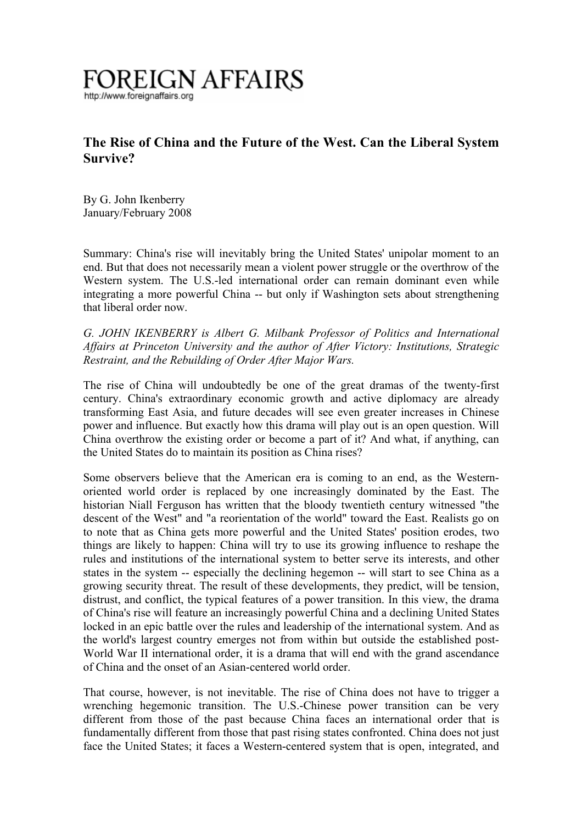# **FOREIGN AFFAIRS** http://www.foreignaffairs.org

# **The Rise of China and the Future of the West. Can the Liberal System Survive?**

By G. John Ikenberry January/February 2008

Summary: China's rise will inevitably bring the United States' unipolar moment to an end. But that does not necessarily mean a violent power struggle or the overthrow of the Western system. The U.S.-led international order can remain dominant even while integrating a more powerful China -- but only if Washington sets about strengthening that liberal order now.

*G. JOHN IKENBERRY is Albert G. Milbank Professor of Politics and International Affairs at Princeton University and the author of After Victory: Institutions, Strategic Restraint, and the Rebuilding of Order After Major Wars.* 

The rise of China will undoubtedly be one of the great dramas of the twenty-first century. China's extraordinary economic growth and active diplomacy are already transforming East Asia, and future decades will see even greater increases in Chinese power and influence. But exactly how this drama will play out is an open question. Will China overthrow the existing order or become a part of it? And what, if anything, can the United States do to maintain its position as China rises?

Some observers believe that the American era is coming to an end, as the Westernoriented world order is replaced by one increasingly dominated by the East. The historian Niall Ferguson has written that the bloody twentieth century witnessed "the descent of the West" and "a reorientation of the world" toward the East. Realists go on to note that as China gets more powerful and the United States' position erodes, two things are likely to happen: China will try to use its growing influence to reshape the rules and institutions of the international system to better serve its interests, and other states in the system -- especially the declining hegemon -- will start to see China as a growing security threat. The result of these developments, they predict, will be tension, distrust, and conflict, the typical features of a power transition. In this view, the drama of China's rise will feature an increasingly powerful China and a declining United States locked in an epic battle over the rules and leadership of the international system. And as the world's largest country emerges not from within but outside the established post-World War II international order, it is a drama that will end with the grand ascendance of China and the onset of an Asian-centered world order.

That course, however, is not inevitable. The rise of China does not have to trigger a wrenching hegemonic transition. The U.S.-Chinese power transition can be very different from those of the past because China faces an international order that is fundamentally different from those that past rising states confronted. China does not just face the United States; it faces a Western-centered system that is open, integrated, and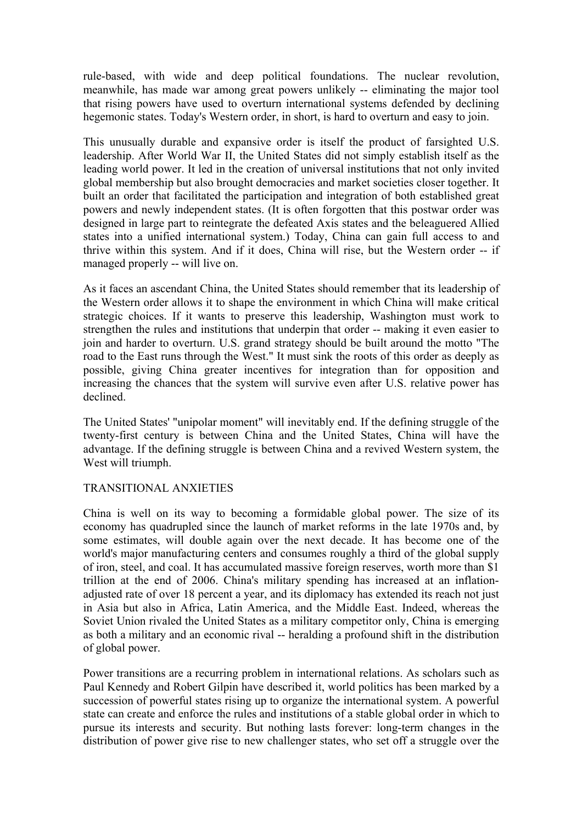rule-based, with wide and deep political foundations. The nuclear revolution, meanwhile, has made war among great powers unlikely -- eliminating the major tool that rising powers have used to overturn international systems defended by declining hegemonic states. Today's Western order, in short, is hard to overturn and easy to join.

This unusually durable and expansive order is itself the product of farsighted U.S. leadership. After World War II, the United States did not simply establish itself as the leading world power. It led in the creation of universal institutions that not only invited global membership but also brought democracies and market societies closer together. It built an order that facilitated the participation and integration of both established great powers and newly independent states. (It is often forgotten that this postwar order was designed in large part to reintegrate the defeated Axis states and the beleaguered Allied states into a unified international system.) Today, China can gain full access to and thrive within this system. And if it does, China will rise, but the Western order -- if managed properly -- will live on.

As it faces an ascendant China, the United States should remember that its leadership of the Western order allows it to shape the environment in which China will make critical strategic choices. If it wants to preserve this leadership, Washington must work to strengthen the rules and institutions that underpin that order -- making it even easier to join and harder to overturn. U.S. grand strategy should be built around the motto "The road to the East runs through the West." It must sink the roots of this order as deeply as possible, giving China greater incentives for integration than for opposition and increasing the chances that the system will survive even after U.S. relative power has declined.

The United States' "unipolar moment" will inevitably end. If the defining struggle of the twenty-first century is between China and the United States, China will have the advantage. If the defining struggle is between China and a revived Western system, the West will triumph.

#### TRANSITIONAL ANXIETIES

China is well on its way to becoming a formidable global power. The size of its economy has quadrupled since the launch of market reforms in the late 1970s and, by some estimates, will double again over the next decade. It has become one of the world's major manufacturing centers and consumes roughly a third of the global supply of iron, steel, and coal. It has accumulated massive foreign reserves, worth more than \$1 trillion at the end of 2006. China's military spending has increased at an inflationadjusted rate of over 18 percent a year, and its diplomacy has extended its reach not just in Asia but also in Africa, Latin America, and the Middle East. Indeed, whereas the Soviet Union rivaled the United States as a military competitor only, China is emerging as both a military and an economic rival -- heralding a profound shift in the distribution of global power.

Power transitions are a recurring problem in international relations. As scholars such as Paul Kennedy and Robert Gilpin have described it, world politics has been marked by a succession of powerful states rising up to organize the international system. A powerful state can create and enforce the rules and institutions of a stable global order in which to pursue its interests and security. But nothing lasts forever: long-term changes in the distribution of power give rise to new challenger states, who set off a struggle over the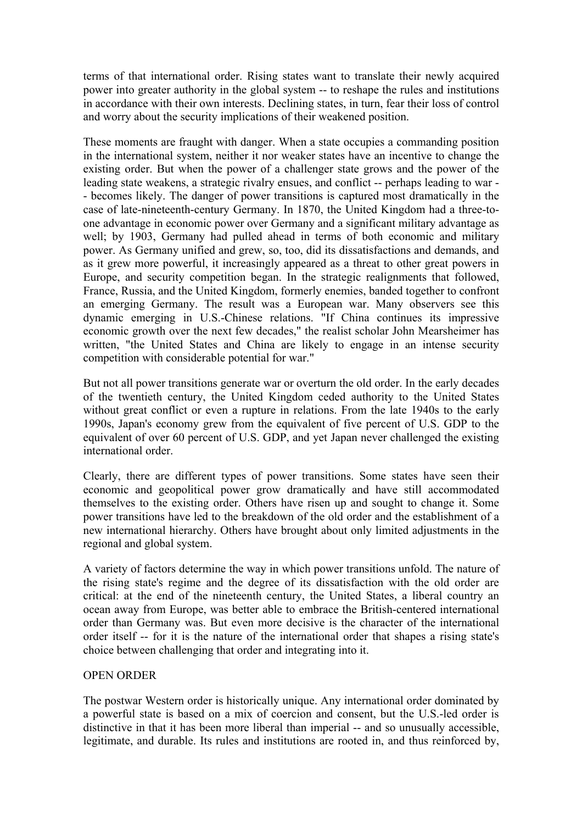terms of that international order. Rising states want to translate their newly acquired power into greater authority in the global system -- to reshape the rules and institutions in accordance with their own interests. Declining states, in turn, fear their loss of control and worry about the security implications of their weakened position.

These moments are fraught with danger. When a state occupies a commanding position in the international system, neither it nor weaker states have an incentive to change the existing order. But when the power of a challenger state grows and the power of the leading state weakens, a strategic rivalry ensues, and conflict -- perhaps leading to war - - becomes likely. The danger of power transitions is captured most dramatically in the case of late-nineteenth-century Germany. In 1870, the United Kingdom had a three-toone advantage in economic power over Germany and a significant military advantage as well; by 1903, Germany had pulled ahead in terms of both economic and military power. As Germany unified and grew, so, too, did its dissatisfactions and demands, and as it grew more powerful, it increasingly appeared as a threat to other great powers in Europe, and security competition began. In the strategic realignments that followed, France, Russia, and the United Kingdom, formerly enemies, banded together to confront an emerging Germany. The result was a European war. Many observers see this dynamic emerging in U.S.-Chinese relations. "If China continues its impressive economic growth over the next few decades," the realist scholar John Mearsheimer has written, "the United States and China are likely to engage in an intense security competition with considerable potential for war."

But not all power transitions generate war or overturn the old order. In the early decades of the twentieth century, the United Kingdom ceded authority to the United States without great conflict or even a rupture in relations. From the late 1940s to the early 1990s, Japan's economy grew from the equivalent of five percent of U.S. GDP to the equivalent of over 60 percent of U.S. GDP, and yet Japan never challenged the existing international order.

Clearly, there are different types of power transitions. Some states have seen their economic and geopolitical power grow dramatically and have still accommodated themselves to the existing order. Others have risen up and sought to change it. Some power transitions have led to the breakdown of the old order and the establishment of a new international hierarchy. Others have brought about only limited adjustments in the regional and global system.

A variety of factors determine the way in which power transitions unfold. The nature of the rising state's regime and the degree of its dissatisfaction with the old order are critical: at the end of the nineteenth century, the United States, a liberal country an ocean away from Europe, was better able to embrace the British-centered international order than Germany was. But even more decisive is the character of the international order itself -- for it is the nature of the international order that shapes a rising state's choice between challenging that order and integrating into it.

# OPEN ORDER

The postwar Western order is historically unique. Any international order dominated by a powerful state is based on a mix of coercion and consent, but the U.S.-led order is distinctive in that it has been more liberal than imperial -- and so unusually accessible, legitimate, and durable. Its rules and institutions are rooted in, and thus reinforced by,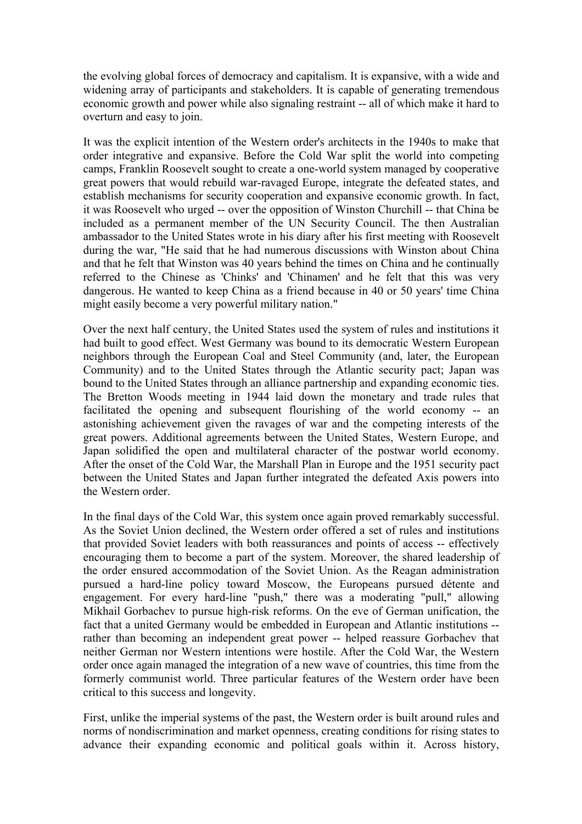the evolving global forces of democracy and capitalism. It is expansive, with a wide and widening array of participants and stakeholders. It is capable of generating tremendous economic growth and power while also signaling restraint -- all of which make it hard to overturn and easy to join.

It was the explicit intention of the Western order's architects in the 1940s to make that order integrative and expansive. Before the Cold War split the world into competing camps, Franklin Roosevelt sought to create a one-world system managed by cooperative great powers that would rebuild war-ravaged Europe, integrate the defeated states, and establish mechanisms for security cooperation and expansive economic growth. In fact, it was Roosevelt who urged -- over the opposition of Winston Churchill -- that China be included as a permanent member of the UN Security Council. The then Australian ambassador to the United States wrote in his diary after his first meeting with Roosevelt during the war, "He said that he had numerous discussions with Winston about China and that he felt that Winston was 40 years behind the times on China and he continually referred to the Chinese as 'Chinks' and 'Chinamen' and he felt that this was very dangerous. He wanted to keep China as a friend because in 40 or 50 years' time China might easily become a very powerful military nation."

Over the next half century, the United States used the system of rules and institutions it had built to good effect. West Germany was bound to its democratic Western European neighbors through the European Coal and Steel Community (and, later, the European Community) and to the United States through the Atlantic security pact; Japan was bound to the United States through an alliance partnership and expanding economic ties. The Bretton Woods meeting in 1944 laid down the monetary and trade rules that facilitated the opening and subsequent flourishing of the world economy -- an astonishing achievement given the ravages of war and the competing interests of the great powers. Additional agreements between the United States, Western Europe, and Japan solidified the open and multilateral character of the postwar world economy. After the onset of the Cold War, the Marshall Plan in Europe and the 1951 security pact between the United States and Japan further integrated the defeated Axis powers into the Western order.

In the final days of the Cold War, this system once again proved remarkably successful. As the Soviet Union declined, the Western order offered a set of rules and institutions that provided Soviet leaders with both reassurances and points of access -- effectively encouraging them to become a part of the system. Moreover, the shared leadership of the order ensured accommodation of the Soviet Union. As the Reagan administration pursued a hard-line policy toward Moscow, the Europeans pursued détente and engagement. For every hard-line "push," there was a moderating "pull," allowing Mikhail Gorbachev to pursue high-risk reforms. On the eve of German unification, the fact that a united Germany would be embedded in European and Atlantic institutions - rather than becoming an independent great power -- helped reassure Gorbachev that neither German nor Western intentions were hostile. After the Cold War, the Western order once again managed the integration of a new wave of countries, this time from the formerly communist world. Three particular features of the Western order have been critical to this success and longevity.

First, unlike the imperial systems of the past, the Western order is built around rules and norms of nondiscrimination and market openness, creating conditions for rising states to advance their expanding economic and political goals within it. Across history,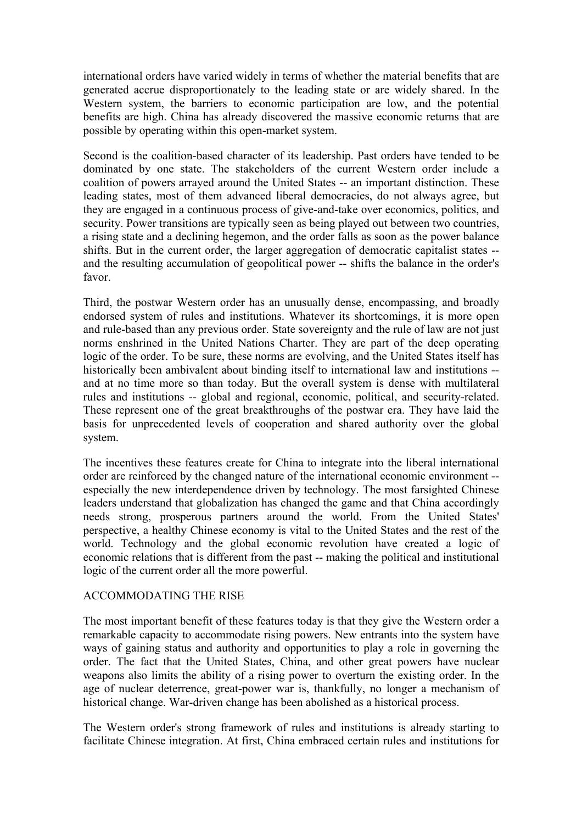international orders have varied widely in terms of whether the material benefits that are generated accrue disproportionately to the leading state or are widely shared. In the Western system, the barriers to economic participation are low, and the potential benefits are high. China has already discovered the massive economic returns that are possible by operating within this open-market system.

Second is the coalition-based character of its leadership. Past orders have tended to be dominated by one state. The stakeholders of the current Western order include a coalition of powers arrayed around the United States -- an important distinction. These leading states, most of them advanced liberal democracies, do not always agree, but they are engaged in a continuous process of give-and-take over economics, politics, and security. Power transitions are typically seen as being played out between two countries, a rising state and a declining hegemon, and the order falls as soon as the power balance shifts. But in the current order, the larger aggregation of democratic capitalist states - and the resulting accumulation of geopolitical power -- shifts the balance in the order's favor.

Third, the postwar Western order has an unusually dense, encompassing, and broadly endorsed system of rules and institutions. Whatever its shortcomings, it is more open and rule-based than any previous order. State sovereignty and the rule of law are not just norms enshrined in the United Nations Charter. They are part of the deep operating logic of the order. To be sure, these norms are evolving, and the United States itself has historically been ambivalent about binding itself to international law and institutions - and at no time more so than today. But the overall system is dense with multilateral rules and institutions -- global and regional, economic, political, and security-related. These represent one of the great breakthroughs of the postwar era. They have laid the basis for unprecedented levels of cooperation and shared authority over the global system.

The incentives these features create for China to integrate into the liberal international order are reinforced by the changed nature of the international economic environment - especially the new interdependence driven by technology. The most farsighted Chinese leaders understand that globalization has changed the game and that China accordingly needs strong, prosperous partners around the world. From the United States' perspective, a healthy Chinese economy is vital to the United States and the rest of the world. Technology and the global economic revolution have created a logic of economic relations that is different from the past -- making the political and institutional logic of the current order all the more powerful.

# ACCOMMODATING THE RISE

The most important benefit of these features today is that they give the Western order a remarkable capacity to accommodate rising powers. New entrants into the system have ways of gaining status and authority and opportunities to play a role in governing the order. The fact that the United States, China, and other great powers have nuclear weapons also limits the ability of a rising power to overturn the existing order. In the age of nuclear deterrence, great-power war is, thankfully, no longer a mechanism of historical change. War-driven change has been abolished as a historical process.

The Western order's strong framework of rules and institutions is already starting to facilitate Chinese integration. At first, China embraced certain rules and institutions for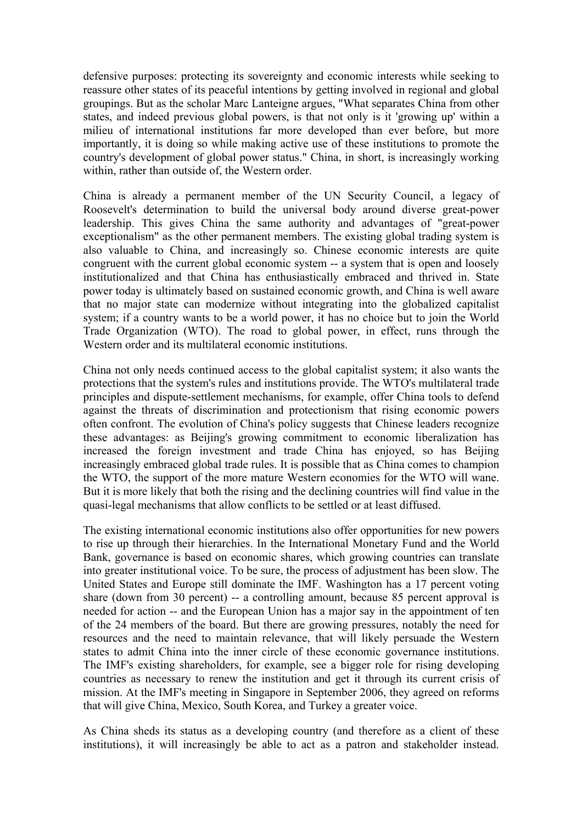defensive purposes: protecting its sovereignty and economic interests while seeking to reassure other states of its peaceful intentions by getting involved in regional and global groupings. But as the scholar Marc Lanteigne argues, "What separates China from other states, and indeed previous global powers, is that not only is it 'growing up' within a milieu of international institutions far more developed than ever before, but more importantly, it is doing so while making active use of these institutions to promote the country's development of global power status." China, in short, is increasingly working within, rather than outside of, the Western order.

China is already a permanent member of the UN Security Council, a legacy of Roosevelt's determination to build the universal body around diverse great-power leadership. This gives China the same authority and advantages of "great-power exceptionalism" as the other permanent members. The existing global trading system is also valuable to China, and increasingly so. Chinese economic interests are quite congruent with the current global economic system -- a system that is open and loosely institutionalized and that China has enthusiastically embraced and thrived in. State power today is ultimately based on sustained economic growth, and China is well aware that no major state can modernize without integrating into the globalized capitalist system; if a country wants to be a world power, it has no choice but to join the World Trade Organization (WTO). The road to global power, in effect, runs through the Western order and its multilateral economic institutions.

China not only needs continued access to the global capitalist system; it also wants the protections that the system's rules and institutions provide. The WTO's multilateral trade principles and dispute-settlement mechanisms, for example, offer China tools to defend against the threats of discrimination and protectionism that rising economic powers often confront. The evolution of China's policy suggests that Chinese leaders recognize these advantages: as Beijing's growing commitment to economic liberalization has increased the foreign investment and trade China has enjoyed, so has Beijing increasingly embraced global trade rules. It is possible that as China comes to champion the WTO, the support of the more mature Western economies for the WTO will wane. But it is more likely that both the rising and the declining countries will find value in the quasi-legal mechanisms that allow conflicts to be settled or at least diffused.

The existing international economic institutions also offer opportunities for new powers to rise up through their hierarchies. In the International Monetary Fund and the World Bank, governance is based on economic shares, which growing countries can translate into greater institutional voice. To be sure, the process of adjustment has been slow. The United States and Europe still dominate the IMF. Washington has a 17 percent voting share (down from 30 percent) -- a controlling amount, because 85 percent approval is needed for action -- and the European Union has a major say in the appointment of ten of the 24 members of the board. But there are growing pressures, notably the need for resources and the need to maintain relevance, that will likely persuade the Western states to admit China into the inner circle of these economic governance institutions. The IMF's existing shareholders, for example, see a bigger role for rising developing countries as necessary to renew the institution and get it through its current crisis of mission. At the IMF's meeting in Singapore in September 2006, they agreed on reforms that will give China, Mexico, South Korea, and Turkey a greater voice.

As China sheds its status as a developing country (and therefore as a client of these institutions), it will increasingly be able to act as a patron and stakeholder instead.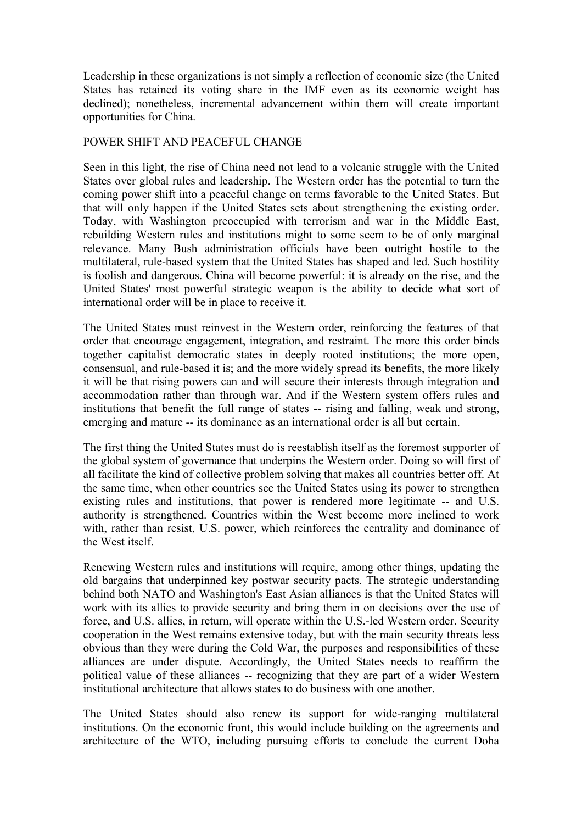Leadership in these organizations is not simply a reflection of economic size (the United States has retained its voting share in the IMF even as its economic weight has declined); nonetheless, incremental advancement within them will create important opportunities for China.

### POWER SHIFT AND PEACEFUL CHANGE

Seen in this light, the rise of China need not lead to a volcanic struggle with the United States over global rules and leadership. The Western order has the potential to turn the coming power shift into a peaceful change on terms favorable to the United States. But that will only happen if the United States sets about strengthening the existing order. Today, with Washington preoccupied with terrorism and war in the Middle East, rebuilding Western rules and institutions might to some seem to be of only marginal relevance. Many Bush administration officials have been outright hostile to the multilateral, rule-based system that the United States has shaped and led. Such hostility is foolish and dangerous. China will become powerful: it is already on the rise, and the United States' most powerful strategic weapon is the ability to decide what sort of international order will be in place to receive it.

The United States must reinvest in the Western order, reinforcing the features of that order that encourage engagement, integration, and restraint. The more this order binds together capitalist democratic states in deeply rooted institutions; the more open, consensual, and rule-based it is; and the more widely spread its benefits, the more likely it will be that rising powers can and will secure their interests through integration and accommodation rather than through war. And if the Western system offers rules and institutions that benefit the full range of states -- rising and falling, weak and strong, emerging and mature -- its dominance as an international order is all but certain.

The first thing the United States must do is reestablish itself as the foremost supporter of the global system of governance that underpins the Western order. Doing so will first of all facilitate the kind of collective problem solving that makes all countries better off. At the same time, when other countries see the United States using its power to strengthen existing rules and institutions, that power is rendered more legitimate -- and U.S. authority is strengthened. Countries within the West become more inclined to work with, rather than resist, U.S. power, which reinforces the centrality and dominance of the West itself.

Renewing Western rules and institutions will require, among other things, updating the old bargains that underpinned key postwar security pacts. The strategic understanding behind both NATO and Washington's East Asian alliances is that the United States will work with its allies to provide security and bring them in on decisions over the use of force, and U.S. allies, in return, will operate within the U.S.-led Western order. Security cooperation in the West remains extensive today, but with the main security threats less obvious than they were during the Cold War, the purposes and responsibilities of these alliances are under dispute. Accordingly, the United States needs to reaffirm the political value of these alliances -- recognizing that they are part of a wider Western institutional architecture that allows states to do business with one another.

The United States should also renew its support for wide-ranging multilateral institutions. On the economic front, this would include building on the agreements and architecture of the WTO, including pursuing efforts to conclude the current Doha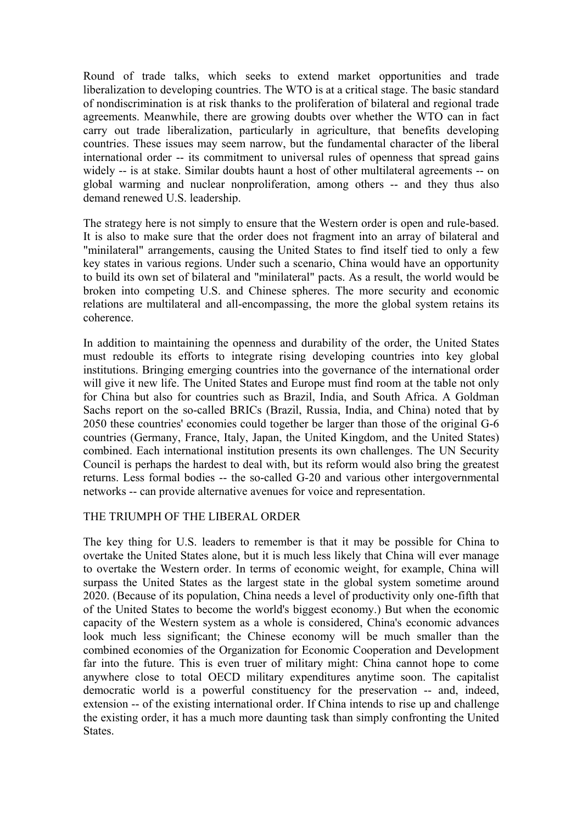Round of trade talks, which seeks to extend market opportunities and trade liberalization to developing countries. The WTO is at a critical stage. The basic standard of nondiscrimination is at risk thanks to the proliferation of bilateral and regional trade agreements. Meanwhile, there are growing doubts over whether the WTO can in fact carry out trade liberalization, particularly in agriculture, that benefits developing countries. These issues may seem narrow, but the fundamental character of the liberal international order -- its commitment to universal rules of openness that spread gains widely -- is at stake. Similar doubts haunt a host of other multilateral agreements -- on global warming and nuclear nonproliferation, among others -- and they thus also demand renewed U.S. leadership.

The strategy here is not simply to ensure that the Western order is open and rule-based. It is also to make sure that the order does not fragment into an array of bilateral and "minilateral" arrangements, causing the United States to find itself tied to only a few key states in various regions. Under such a scenario, China would have an opportunity to build its own set of bilateral and "minilateral" pacts. As a result, the world would be broken into competing U.S. and Chinese spheres. The more security and economic relations are multilateral and all-encompassing, the more the global system retains its coherence.

In addition to maintaining the openness and durability of the order, the United States must redouble its efforts to integrate rising developing countries into key global institutions. Bringing emerging countries into the governance of the international order will give it new life. The United States and Europe must find room at the table not only for China but also for countries such as Brazil, India, and South Africa. A Goldman Sachs report on the so-called BRICs (Brazil, Russia, India, and China) noted that by 2050 these countries' economies could together be larger than those of the original G-6 countries (Germany, France, Italy, Japan, the United Kingdom, and the United States) combined. Each international institution presents its own challenges. The UN Security Council is perhaps the hardest to deal with, but its reform would also bring the greatest returns. Less formal bodies -- the so-called G-20 and various other intergovernmental networks -- can provide alternative avenues for voice and representation.

#### THE TRIUMPH OF THE LIBERAL ORDER

The key thing for U.S. leaders to remember is that it may be possible for China to overtake the United States alone, but it is much less likely that China will ever manage to overtake the Western order. In terms of economic weight, for example, China will surpass the United States as the largest state in the global system sometime around 2020. (Because of its population, China needs a level of productivity only one-fifth that of the United States to become the world's biggest economy.) But when the economic capacity of the Western system as a whole is considered, China's economic advances look much less significant; the Chinese economy will be much smaller than the combined economies of the Organization for Economic Cooperation and Development far into the future. This is even truer of military might: China cannot hope to come anywhere close to total OECD military expenditures anytime soon. The capitalist democratic world is a powerful constituency for the preservation -- and, indeed, extension -- of the existing international order. If China intends to rise up and challenge the existing order, it has a much more daunting task than simply confronting the United **States**.